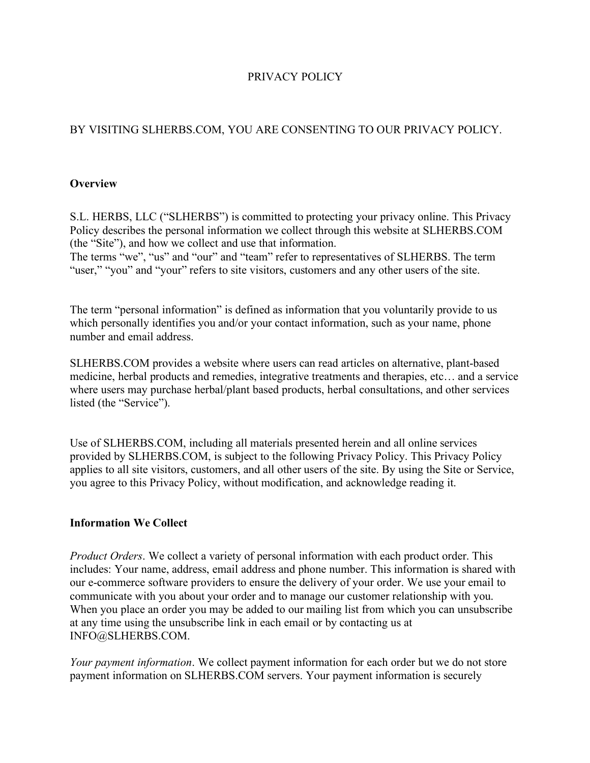# PRIVACY POLICY

# BY VISITING SLHERBS.COM, YOU ARE CONSENTING TO OUR PRIVACY POLICY.

### **Overview**

S.L. HERBS, LLC ("SLHERBS") is committed to protecting your privacy online. This Privacy Policy describes the personal information we collect through this website at SLHERBS.COM (the "Site"), and how we collect and use that information.

The terms "we", "us" and "our" and "team" refer to representatives of SLHERBS. The term "user," "you" and "your" refers to site visitors, customers and any other users of the site.

The term "personal information" is defined as information that you voluntarily provide to us which personally identifies you and/or your contact information, such as your name, phone number and email address.

SLHERBS.COM provides a website where users can read articles on alternative, plant-based medicine, herbal products and remedies, integrative treatments and therapies, etc… and a service where users may purchase herbal/plant based products, herbal consultations, and other services listed (the "Service").

Use of SLHERBS.COM, including all materials presented herein and all online services provided by SLHERBS.COM, is subject to the following Privacy Policy. This Privacy Policy applies to all site visitors, customers, and all other users of the site. By using the Site or Service, you agree to this Privacy Policy, without modification, and acknowledge reading it.

#### **Information We Collect**

*Product Orders*. We collect a variety of personal information with each product order. This includes: Your name, address, email address and phone number. This information is shared with our e-commerce software providers to ensure the delivery of your order. We use your email to communicate with you about your order and to manage our customer relationship with you. When you place an order you may be added to our mailing list from which you can unsubscribe at any time using the unsubscribe link in each email or by contacting us at INFO@SLHERBS.COM.

*Your payment information*. We collect payment information for each order but we do not store payment information on SLHERBS.COM servers. Your payment information is securely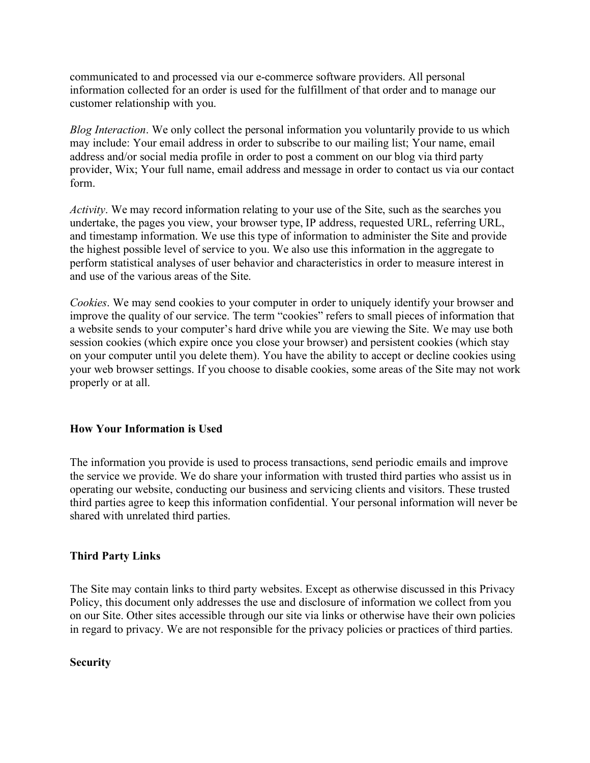communicated to and processed via our e-commerce software providers. All personal information collected for an order is used for the fulfillment of that order and to manage our customer relationship with you.

*Blog Interaction*. We only collect the personal information you voluntarily provide to us which may include: Your email address in order to subscribe to our mailing list; Your name, email address and/or social media profile in order to post a comment on our blog via third party provider, Wix; Your full name, email address and message in order to contact us via our contact form.

*Activity*. We may record information relating to your use of the Site, such as the searches you undertake, the pages you view, your browser type, IP address, requested URL, referring URL, and timestamp information. We use this type of information to administer the Site and provide the highest possible level of service to you. We also use this information in the aggregate to perform statistical analyses of user behavior and characteristics in order to measure interest in and use of the various areas of the Site.

*Cookies*. We may send cookies to your computer in order to uniquely identify your browser and improve the quality of our service. The term "cookies" refers to small pieces of information that a website sends to your computer's hard drive while you are viewing the Site. We may use both session cookies (which expire once you close your browser) and persistent cookies (which stay on your computer until you delete them). You have the ability to accept or decline cookies using your web browser settings. If you choose to disable cookies, some areas of the Site may not work properly or at all.

## **How Your Information is Used**

The information you provide is used to process transactions, send periodic emails and improve the service we provide. We do share your information with trusted third parties who assist us in operating our website, conducting our business and servicing clients and visitors. These trusted third parties agree to keep this information confidential. Your personal information will never be shared with unrelated third parties.

## **Third Party Links**

The Site may contain links to third party websites. Except as otherwise discussed in this Privacy Policy, this document only addresses the use and disclosure of information we collect from you on our Site. Other sites accessible through our site via links or otherwise have their own policies in regard to privacy. We are not responsible for the privacy policies or practices of third parties.

#### **Security**